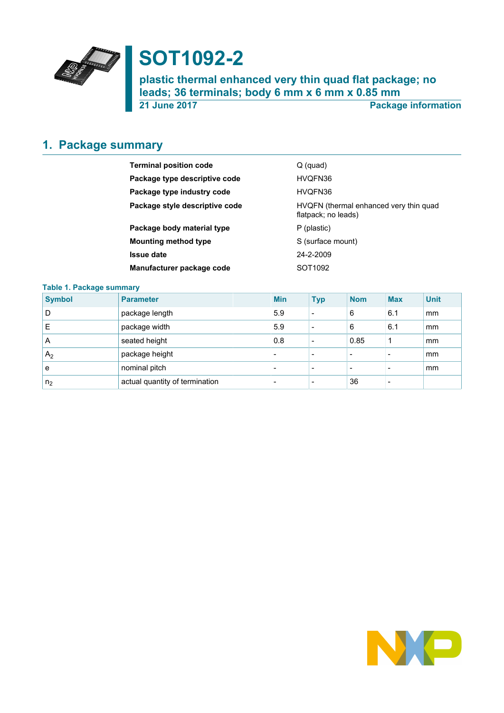

# **SOT1092-2**

**plastic thermal enhanced very thin quad flat package; no leads; 36 terminals; body 6 mm x 6 mm x 0.85 mm**

**21 June 2017 Package information**

# <span id="page-0-0"></span>**1. Package summary**

| <b>Terminal position code</b>  | Q (quad)                                                      |
|--------------------------------|---------------------------------------------------------------|
| Package type descriptive code  | HVQFN36                                                       |
| Package type industry code     | HVQFN36                                                       |
| Package style descriptive code | HVQFN (thermal enhanced very thin quad<br>flatpack; no leads) |
| Package body material type     | P (plastic)                                                   |
| <b>Mounting method type</b>    | S (surface mount)                                             |
| <b>Issue date</b>              | 24-2-2009                                                     |
| Manufacturer package code      | SOT1092                                                       |

#### **Table 1. Package summary**

| <b>Symbol</b>  | <b>Parameter</b>               | <b>Min</b>               | <b>Typ</b> | <b>Nom</b> | <b>Max</b> | <b>Unit</b> |
|----------------|--------------------------------|--------------------------|------------|------------|------------|-------------|
| D              | package length                 | 5.9                      | $\,$       | 6          | 6.1        | mm          |
| E              | package width                  | 5.9                      |            | 6          | 6.1        | mm          |
| A              | seated height                  | 0.8                      |            | 0.85       |            | mm          |
| A <sub>2</sub> | package height                 | -                        |            | -          |            | mm          |
| е              | nominal pitch                  | $\overline{\phantom{0}}$ | -          | -          |            | mm          |
| n <sub>2</sub> | actual quantity of termination |                          |            | 36         |            |             |

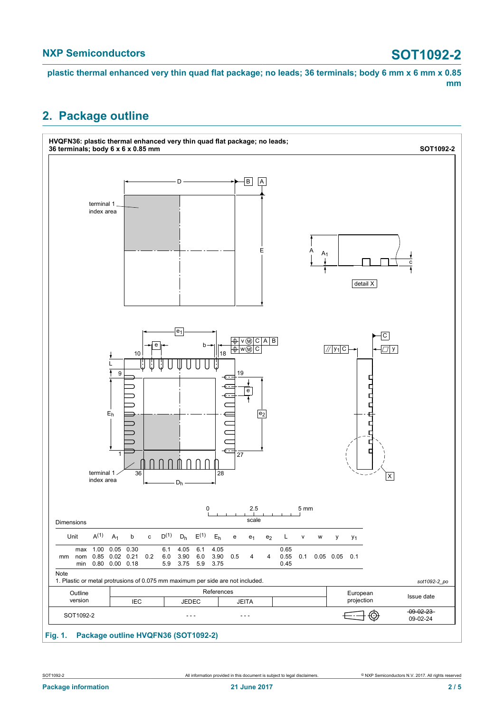#### **NXP Semiconductors SOT1092-2**

**plastic thermal enhanced very thin quad flat package; no leads; 36 terminals; body 6 mm x 6 mm x 0.85 mm**

### <span id="page-1-0"></span>**2. Package outline**



#### **Fig. 1. Package outline HVQFN36 (SOT1092-2)**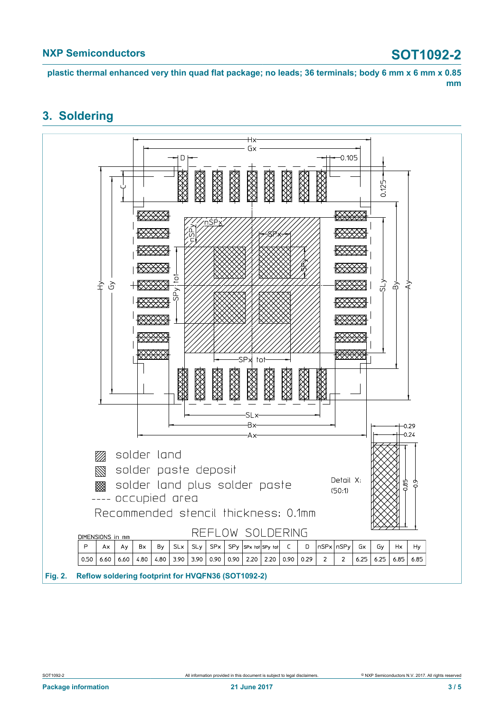**plastic thermal enhanced very thin quad flat package; no leads; 36 terminals; body 6 mm x 6 mm x 0.85 mm**

### <span id="page-2-0"></span>**3. Soldering**

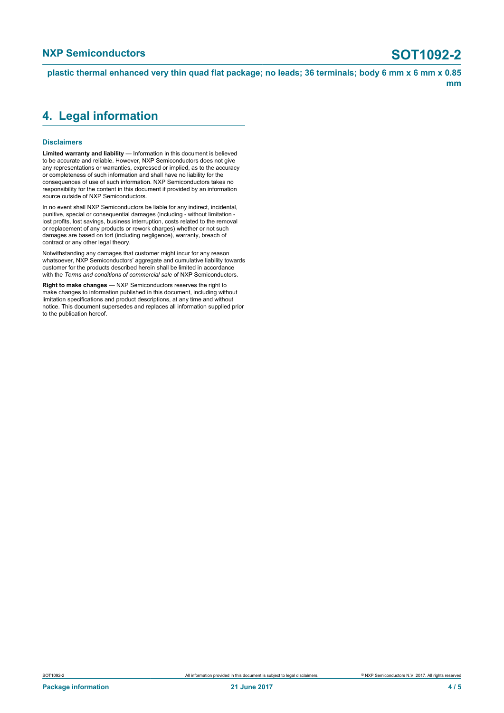**plastic thermal enhanced very thin quad flat package; no leads; 36 terminals; body 6 mm x 6 mm x 0.85 mm**

### <span id="page-3-0"></span>**4. Legal information**

#### **Disclaimers**

**Limited warranty and liability** — Information in this document is believed to be accurate and reliable. However, NXP Semiconductors does not give any representations or warranties, expressed or implied, as to the accuracy or completeness of such information and shall have no liability for the consequences of use of such information. NXP Semiconductors takes no responsibility for the content in this document if provided by an information source outside of NXP Semiconductors.

In no event shall NXP Semiconductors be liable for any indirect, incidental, punitive, special or consequential damages (including - without limitation lost profits, lost savings, business interruption, costs related to the removal or replacement of any products or rework charges) whether or not such damages are based on tort (including negligence), warranty, breach of contract or any other legal theory.

Notwithstanding any damages that customer might incur for any reason whatsoever, NXP Semiconductors' aggregate and cumulative liability towards customer for the products described herein shall be limited in accordance with the *Terms and conditions of commercial sale* of NXP Semiconductors.

**Right to make changes** — NXP Semiconductors reserves the right to make changes to information published in this document, including without limitation specifications and product descriptions, at any time and without notice. This document supersedes and replaces all information supplied prior to the publication hereof.